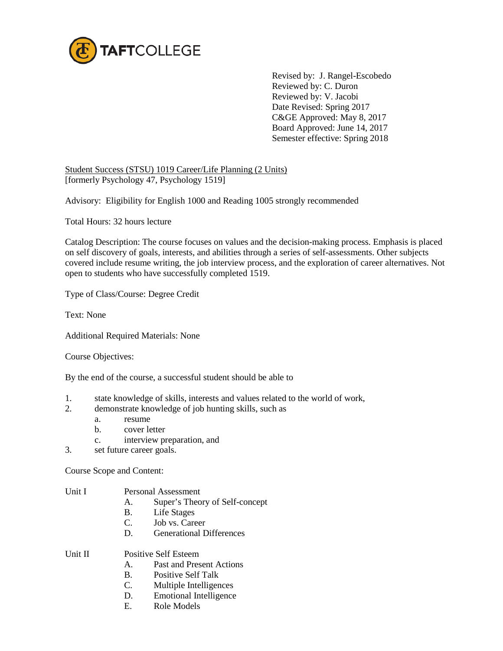

Revised by: J. Rangel-Escobedo Reviewed by: C. Duron Reviewed by: V. Jacobi Date Revised: Spring 2017 C&GE Approved: May 8, 2017 Board Approved: June 14, 2017 Semester effective: Spring 2018

Student Success (STSU) 1019 Career/Life Planning (2 Units) [formerly Psychology 47, Psychology 1519]

Advisory: Eligibility for English 1000 and Reading 1005 strongly recommended

Total Hours: 32 hours lecture

Catalog Description: The course focuses on values and the decision-making process. Emphasis is placed on self discovery of goals, interests, and abilities through a series of self-assessments. Other subjects covered include resume writing, the job interview process, and the exploration of career alternatives. Not open to students who have successfully completed 1519.

Type of Class/Course: Degree Credit

Text: None

Additional Required Materials: None

Course Objectives:

By the end of the course, a successful student should be able to

- 1. state knowledge of skills, interests and values related to the world of work,
- 2. demonstrate knowledge of job hunting skills, such as
	- a. resume
	- b. cover letter
	- c. interview preparation, and
- 3. set future career goals.

Course Scope and Content:

## Unit I Personal Assessment

- A. Super's Theory of Self-concept
- B. Life Stages
- C. Job vs. Career
- D. Generational Differences

Unit II Positive Self Esteem

- A. Past and Present Actions
- B. Positive Self Talk
- C. Multiple Intelligences
- D. Emotional Intelligence
- E. Role Models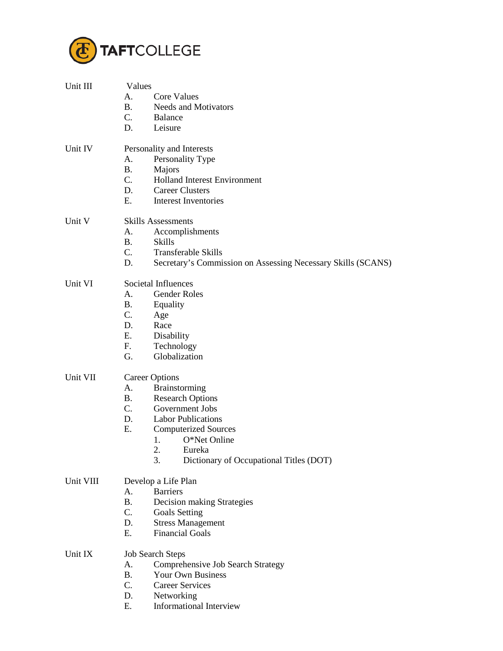

| Unit III  | Values                    |                                                              |  |  |
|-----------|---------------------------|--------------------------------------------------------------|--|--|
|           | А.                        | <b>Core Values</b>                                           |  |  |
|           | <b>B.</b>                 | <b>Needs and Motivators</b>                                  |  |  |
|           | C.                        | <b>Balance</b>                                               |  |  |
|           | D.                        | Leisure                                                      |  |  |
|           |                           |                                                              |  |  |
| Unit IV   | Personality and Interests |                                                              |  |  |
|           | A.                        | Personality Type                                             |  |  |
|           | <b>B.</b>                 | Majors                                                       |  |  |
|           | C.                        | <b>Holland Interest Environment</b>                          |  |  |
|           | D.                        | <b>Career Clusters</b>                                       |  |  |
|           | E.                        | <b>Interest Inventories</b>                                  |  |  |
| Unit V    | <b>Skills Assessments</b> |                                                              |  |  |
|           | А.                        | Accomplishments                                              |  |  |
|           | <b>B.</b>                 | <b>Skills</b>                                                |  |  |
|           | C.                        | <b>Transferable Skills</b>                                   |  |  |
|           | D.                        | Secretary's Commission on Assessing Necessary Skills (SCANS) |  |  |
|           |                           |                                                              |  |  |
| Unit VI   |                           | Societal Influences                                          |  |  |
|           | A.                        | <b>Gender Roles</b>                                          |  |  |
|           | В.                        | Equality                                                     |  |  |
|           | C.                        | Age                                                          |  |  |
|           | D.                        | Race                                                         |  |  |
|           | E.                        | Disability                                                   |  |  |
|           | F.                        | Technology                                                   |  |  |
|           | G.                        | Globalization                                                |  |  |
| Unit VII  | <b>Career Options</b>     |                                                              |  |  |
|           | A.                        | Brainstorming                                                |  |  |
|           | <b>B.</b>                 | <b>Research Options</b>                                      |  |  |
|           | $C_{\cdot}$               | Government Jobs                                              |  |  |
|           | D.                        | <b>Labor Publications</b>                                    |  |  |
|           | Ε.                        | <b>Computerized Sources</b>                                  |  |  |
|           |                           | O*Net Online<br>1.                                           |  |  |
|           |                           | 2.<br>Eureka                                                 |  |  |
|           |                           | Dictionary of Occupational Titles (DOT)<br>3.                |  |  |
|           |                           |                                                              |  |  |
| Unit VIII |                           | Develop a Life Plan                                          |  |  |
|           | А.<br><b>B.</b>           | <b>Barriers</b>                                              |  |  |
|           | C.                        | Decision making Strategies                                   |  |  |
|           |                           | <b>Goals Setting</b>                                         |  |  |
|           | D.<br>E.                  | <b>Stress Management</b>                                     |  |  |
|           |                           | <b>Financial Goals</b>                                       |  |  |
| Unit IX   | <b>Job Search Steps</b>   |                                                              |  |  |
|           | A.                        | Comprehensive Job Search Strategy                            |  |  |
|           | <b>B.</b>                 | Your Own Business                                            |  |  |
|           | C.                        | <b>Career Services</b>                                       |  |  |
|           | D.                        | Networking                                                   |  |  |
|           | Ε.                        | Informational Interview                                      |  |  |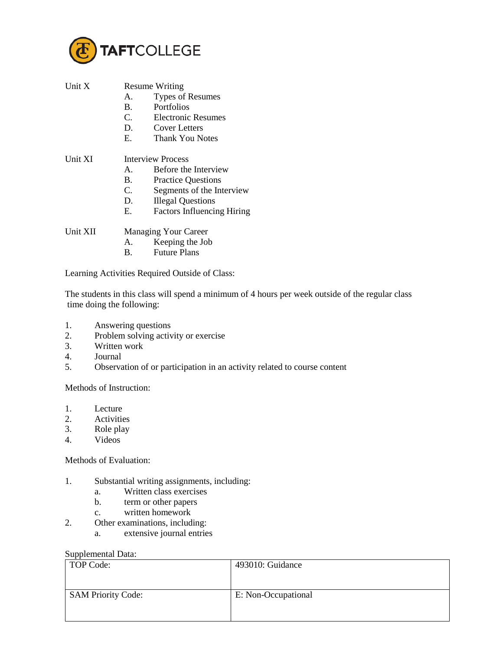

| Unit X   | <b>Resume Writing</b>       |                                                |  |
|----------|-----------------------------|------------------------------------------------|--|
|          | $A_{-}$                     | <b>Types of Resumes</b>                        |  |
|          | B.                          | <b>Portfolios</b>                              |  |
|          | C.                          | <b>Electronic Resumes</b>                      |  |
|          | D.                          | <b>Cover Letters</b>                           |  |
|          | Е.                          | <b>Thank You Notes</b>                         |  |
| Unit XI  | <b>Interview Process</b>    |                                                |  |
|          | $A_{-}$                     | Before the Interview                           |  |
|          | В.                          | <b>Practice Questions</b>                      |  |
|          | C.                          | Segments of the Interview                      |  |
|          | D.                          | <b>Illegal Questions</b>                       |  |
|          | Е.                          | <b>Factors Influencing Hiring</b>              |  |
| Unit XII | <b>Managing Your Career</b> |                                                |  |
|          | А.                          | Keeping the Job                                |  |
|          | B.                          | <b>Future Plans</b>                            |  |
|          |                             | Learning Activities Required Outside of Class: |  |

The students in this class will spend a minimum of 4 hours per week outside of the regular class time doing the following:

- 1. Answering questions
- 2. Problem solving activity or exercise
- 3. Written work
- 4. Journal<br>5. Observa
- 5. Observation of or participation in an activity related to course content

Methods of Instruction:

- 1. Lecture
- 2. Activities
- 3. Role play<br>4. Videos
- Videos

Methods of Evaluation:

- 1. Substantial writing assignments, including:
	- a. Written class exercises
	- b. term or other papers
	- c. written homework
- 2. Other examinations, including:
	- a. extensive journal entries

## Supplemental Data:

| TOP Code:                 | 493010: Guidance    |
|---------------------------|---------------------|
| <b>SAM Priority Code:</b> | E: Non-Occupational |